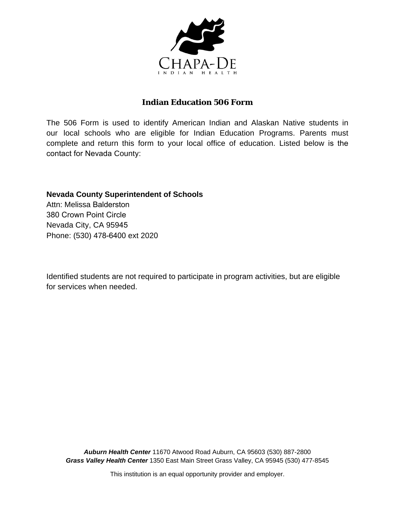

# **Indian Education 506 Form**

The 506 Form is used to identify American Indian and Alaskan Native students in our local schools who are eligible for Indian Education Programs. Parents must complete and return this form to your local office of education. Listed below is the contact for Nevada County:

## **Nevada County Superintendent of Schools**

Attn: Melissa Balderston 380 Crown Point Circle Nevada City, CA 95945 Phone: (530) 478-6400 ext 2020

Identified students are not required to participate in program activities, but are eligible for services when needed.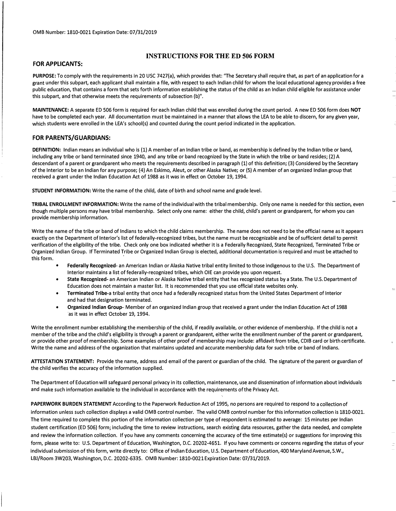#### **FOR APPLICANTS:**

#### **INSTRUCTIONS FOR THE ED 506 FORM**

**PURPOSE:** To comply with the requirements in 20 USC 7427(a), which provides that: "The Secretary shall require that, as part of an application for a grant under this subpart, each applicant shall maintain a file, with respect to each Indian child for whom the local educational agency provides a free public education, that contains a form that sets forth information establishing the status of the child as an Indian child eligible for assistance under this subpart, and that otherwise meets the requirements of subsection (b)".

**MAINTENANCE:** A separate ED 506 form is required for each Indian child that was enrolled during the count period. A new ED 506 form does **NOT**  have to be completed each year. All documentation must be maintained in a manner that allows the LEA to be able to discern, for any given year, which students were enrolled in the LEA's school(s) and counted during the count period indicated in the application.

#### **FOR PARENTS/GUARDIANS:**

**DEFINITION:** Indian means an individual who is (1) A member of an Indian tribe or band, as membership is defined by the Indian tribe or band, including any tribe or band terminated since 1940, and any tribe or band recognized by the State in which the tribe or band resides; (2) A descendant of a parent or grandparent who meets the requirements described in paragraph (1) of this definition; (3) Considered by the Secretary of the Interior to be an Indian for any purpose; (4) An Eskimo, Aleut, or other Alaska Native; or (5) A member of an organized Indian group that received a grant under the Indian Education Act of 1988 as it was in effect on October 19, 1994.

**STUDENT INFORMATION:** Write the name of the child, date of birth and school name and grade level.

**TRIBAL ENROLLMENT INFORMATION:** Write the name of the individual with the tribal membership. Only one name is needed for this section, even though multiple persons may have tribal membership. Select only one name: either the child, child's parent or grandparent, for whom you can provide membership information.

Write the name of the tribe or band of Indians to which the child claims membership. The name does not need to be the official name as it appears exactly on the Department of Interior's list of federally-recognized tribes, but the name must be recognizable and be of sufficient detail to permit verification of the eligibility of the tribe. Check only one box indicated whether it is a Federally Recognized, State Recognized, Terminated Tribe or Organized Indian Group. If Terminated Tribe or Organized Indian Group is elected, additional documentation is required and must be attached to this form.

- **Federally Recognized-** an American Indian or Alaska Native tribal entity limited to those indigenous to the U.S. The Department of Interior maintains a list of federally-recognized tribes, which OIE can provide you upon request.
- **State Recognized-** an American Indian or Alaska Native tribal entity that has recognized status by a State. The U.S. Department of Education does not maintain a master list. It is recommended that you use official state websites only.
- **Terminated Tribe-a** tribal entity that once had a federa)ly recognized status from the United States Department of Interior and had that designation terminated.
- **Organized Indian Group-** Member of an organized Indian group that received a grant under the Indian Education Act of 1988 ·as it was in effect October 19, 1994.

Write the enrollment number establishing the membership of the child, if readily available, or other evidence of membership. If the child is not a member of the tribe and the child's eligibility is through a parent or grandparent, either write the enrollment number of the parent or grandparent, or provide other proof of membership. Some examples of other proof of membership may include: affidavit from tribe, CDIB card or birth certificate. Write the name and address of the organization that maintains updated and accurate membership data for such tribe or band of Indians.

**ATTESTATION STATEMENT:** Provide the name, address and email of the parent or guardian of the child. The signature of the parent or guardian of the child verifies the accuracy of the information supplied.

The Department of Education will safeguard personal privacy in its collection, maintenance, use and dissemination of information about individuals and make such information available to the individual in accordance with the requirements of the Privacy Act.

**PAPERWORK BURDEN STATEMENT** According to the Paperwork Reduction Act of 1995, no persons are required to respond to a collection of information unless such collection displays a valid 0MB control number. The valid 0MB control number for this information collection is 1810-0021. The time required to complete this portion of the information collection per type of respondent is estimated to average: 15 minutes per Indian student certification (ED 506) form; including the time to review instructions, search existing data resources, gather the data needed, and complete and review the information collection. If you have any comments concerning the accuracy of the time estimate(s) or suggestions for improving this form, please write to: U.S. Department of Education, Washington, D.C. 20202-4651. If you have comments or concerns regarding the status of your individual submission of this form, write directly to: Office of Indian Education, U.S. Department of Education, 400 Maryland Avenue, S.W., LBJ/Room 3W203, Washington, D.C. 20202-6335. 0MB Number: 1810-0021 Expiration Date: 07/31/2019.